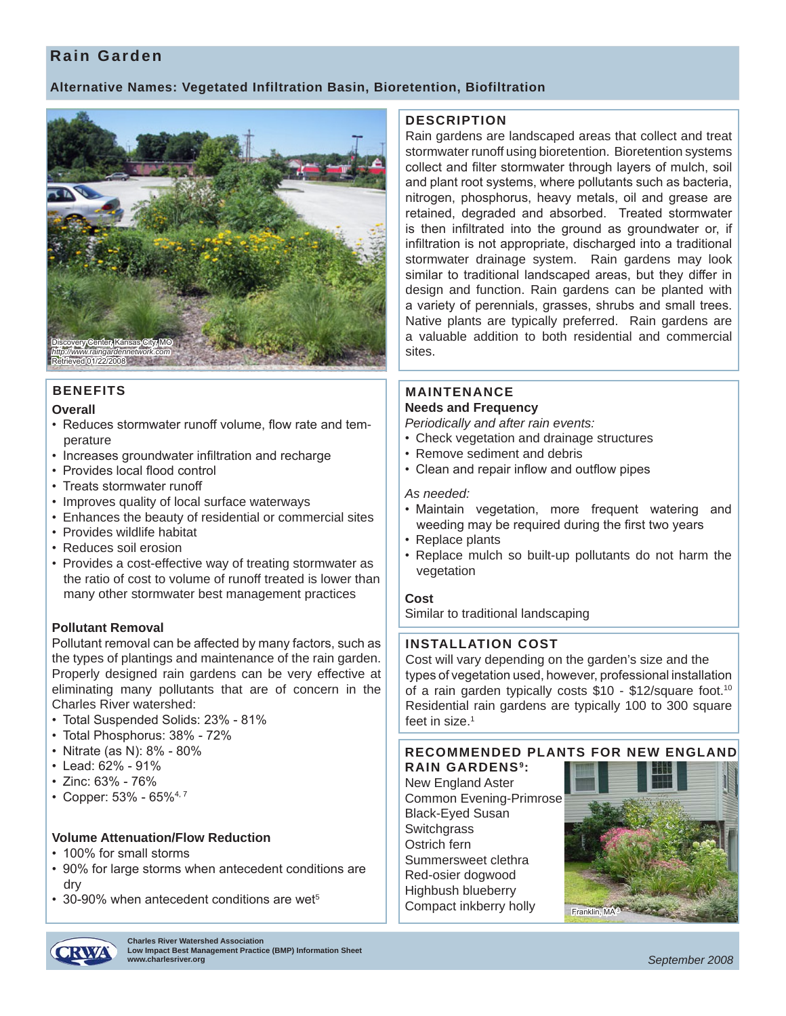# **Rain Garden**

# **Alternative Names: Vegetated Infiltration Basin, Bioretention, Biofiltration**



# **BENEFITS**

#### **Overall**

- Reduces stormwater runoff volume, flow rate and temperature
- Increases groundwater infiltration and recharge
- Provides local flood control
- Treats stormwater runoff
- Improves quality of local surface waterways
- Enhances the beauty of residential or commercial sites
- Provides wildlife habitat
- Reduces soil erosion
- Provides a cost-effective way of treating stormwater as the ratio of cost to volume of runoff treated is lower than many other stormwater best management practices

## **Pollutant Removal**

Pollutant removal can be affected by many factors, such as the types of plantings and maintenance of the rain garden. Properly designed rain gardens can be very effective at eliminating many pollutants that are of concern in the Charles River watershed:

- Total Suspended Solids: 23% 81%
- Total Phosphorus: 38% 72%
- Nitrate (as N): 8% 80%
- Lead: 62% 91%
- Zinc: 63% 76%
- Copper:  $53\%$   $65\%$ <sup>4, 7</sup>

## **Volume Attenuation/Flow Reduction**

- 100% for small storms
- 90% for large storms when antecedent conditions are dry
- 30-90% when antecedent conditions are wet<sup>5</sup>

**Charles River Watershed Association Low Impact Best Management Practice (BMP) Information Sheet**

#### **DESCRIPTION**

Rain gardens are landscaped areas that collect and treat stormwater runoff using bioretention. Bioretention systems collect and filter stormwater through layers of mulch, soil and plant root systems, where pollutants such as bacteria, nitrogen, phosphorus, heavy metals, oil and grease are retained, degraded and absorbed. Treated stormwater is then infiltrated into the ground as groundwater or, if infiltration is not appropriate, discharged into a traditional stormwater drainage system. Rain gardens may look similar to traditional landscaped areas, but they differ in design and function. Rain gardens can be planted with a variety of perennials, grasses, shrubs and small trees. Native plants are typically preferred. Rain gardens are a valuable addition to both residential and commercial sites.

#### **MAINTENANCE Needs and Frequency**

*Periodically and after rain events:*

- Check vegetation and drainage structures
- Remove sediment and debris
- Clean and repair inflow and outflow pipes

#### *As needed:*

- Maintain vegetation, more frequent watering and weeding may be required during the first two years
- Replace plants
- Replace mulch so built-up pollutants do not harm the vegetation

## **Cost**

Similar to traditional landscaping

## **INSTALLATION COST**

Cost will vary depending on the garden's size and the types of vegetation used, however, professional installation of a rain garden typically costs \$10 - \$12/square foot.<sup>10</sup> Residential rain gardens are typically 100 to 300 square feet in size.<sup>1</sup>

## **RECOMMENDED PLANTS FOR NEW ENGLAND**

**RAIN GARDENS9:** New England Aster Common Evening-Primrose Black-Eyed Susan **Switchgrass** Ostrich fern Summersweet clethra Red-osier dogwood Highbush blueberry Compact inkberry holly